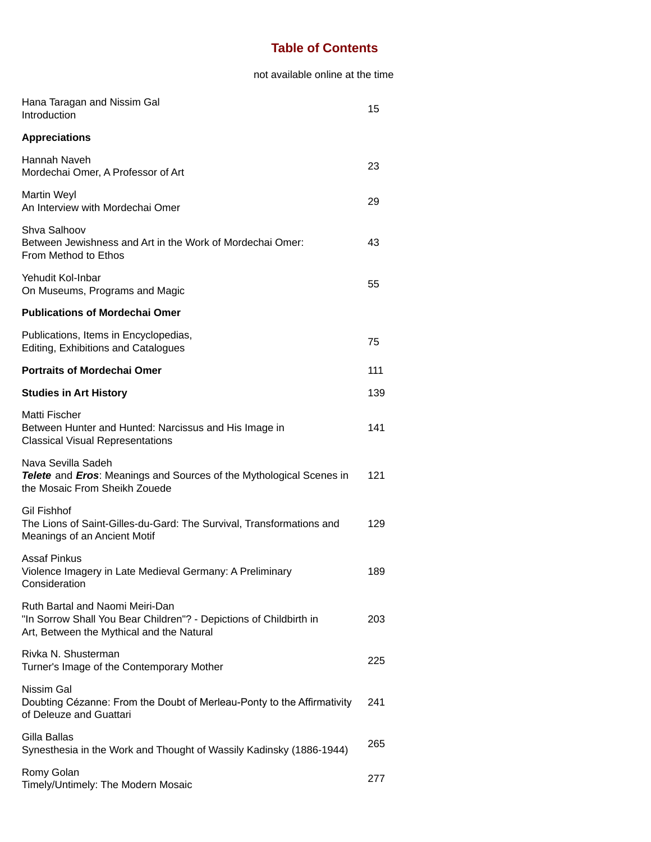## **Table of Contents**

## not available online at the time

| Hana Taragan and Nissim Gal<br>Introduction                                                                                                        | 15  |
|----------------------------------------------------------------------------------------------------------------------------------------------------|-----|
| <b>Appreciations</b>                                                                                                                               |     |
| Hannah Naveh<br>Mordechai Omer, A Professor of Art                                                                                                 | 23  |
| Martin Weyl<br>An Interview with Mordechai Omer                                                                                                    | 29  |
| Shva Salhoov<br>Between Jewishness and Art in the Work of Mordechai Omer:<br>From Method to Ethos                                                  | 43  |
| Yehudit Kol-Inbar<br>On Museums, Programs and Magic                                                                                                | 55  |
| <b>Publications of Mordechai Omer</b>                                                                                                              |     |
| Publications, Items in Encyclopedias,<br><b>Editing, Exhibitions and Catalogues</b>                                                                | 75  |
| <b>Portraits of Mordechai Omer</b>                                                                                                                 | 111 |
| <b>Studies in Art History</b>                                                                                                                      | 139 |
| Matti Fischer<br>Between Hunter and Hunted: Narcissus and His Image in<br><b>Classical Visual Representations</b>                                  | 141 |
| Nava Sevilla Sadeh<br>Telete and Eros: Meanings and Sources of the Mythological Scenes in<br>the Mosaic From Sheikh Zouede                         | 121 |
| <b>Gil Fishhof</b><br>The Lions of Saint-Gilles-du-Gard: The Survival, Transformations and<br>Meanings of an Ancient Motif                         | 129 |
| <b>Assaf Pinkus</b><br>Violence Imagery in Late Medieval Germany: A Preliminary<br>Consideration                                                   | 189 |
| Ruth Bartal and Naomi Meiri-Dan<br>"In Sorrow Shall You Bear Children"? - Depictions of Childbirth in<br>Art, Between the Mythical and the Natural | 203 |
| Rivka N. Shusterman<br>Turner's Image of the Contemporary Mother                                                                                   | 225 |
| Nissim Gal<br>Doubting Cézanne: From the Doubt of Merleau-Ponty to the Affirmativity<br>of Deleuze and Guattari                                    | 241 |
| Gilla Ballas<br>Synesthesia in the Work and Thought of Wassily Kadinsky (1886-1944)                                                                | 265 |
| Romy Golan<br>Timely/Untimely: The Modern Mosaic                                                                                                   | 277 |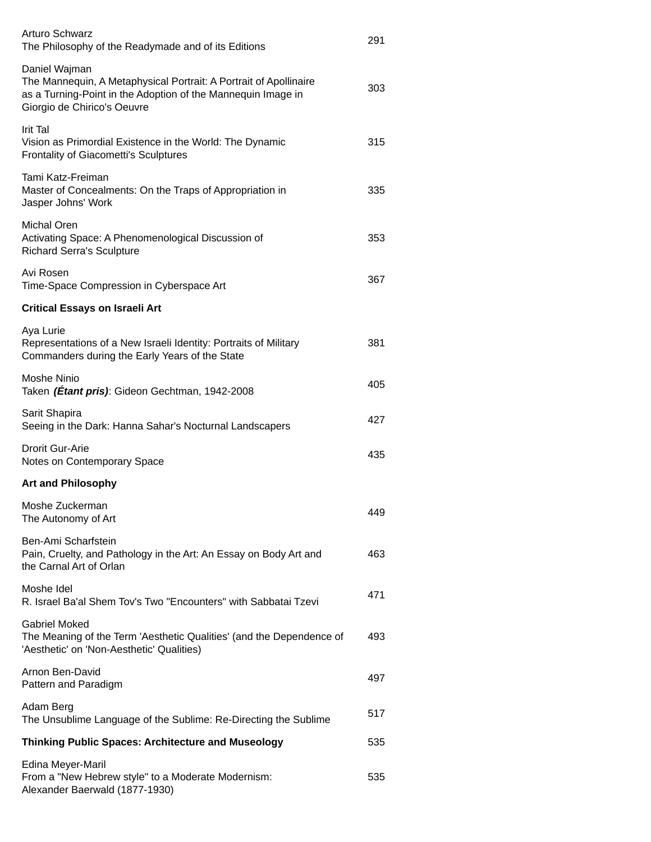| <b>Arturo Schwarz</b><br>The Philosophy of the Readymade and of its Editions                                                                                                      | 291 |
|-----------------------------------------------------------------------------------------------------------------------------------------------------------------------------------|-----|
| Daniel Wajman<br>The Mannequin, A Metaphysical Portrait: A Portrait of Apollinaire<br>as a Turning-Point in the Adoption of the Mannequin Image in<br>Giorgio de Chirico's Oeuvre | 303 |
| Irit Tal<br>Vision as Primordial Existence in the World: The Dynamic<br>Frontality of Giacometti's Sculptures                                                                     | 315 |
| Tami Katz-Freiman<br>Master of Concealments: On the Traps of Appropriation in<br>Jasper Johns' Work                                                                               | 335 |
| <b>Michal Oren</b><br>Activating Space: A Phenomenological Discussion of<br><b>Richard Serra's Sculpture</b>                                                                      | 353 |
| Avi Rosen<br>Time-Space Compression in Cyberspace Art                                                                                                                             | 367 |
| <b>Critical Essays on Israeli Art</b>                                                                                                                                             |     |
| Aya Lurie<br>Representations of a New Israeli Identity: Portraits of Military<br>Commanders during the Early Years of the State                                                   | 381 |
| Moshe Ninio<br>Taken (Étant pris): Gideon Gechtman, 1942-2008                                                                                                                     | 405 |
| Sarit Shapira<br>Seeing in the Dark: Hanna Sahar's Nocturnal Landscapers                                                                                                          | 427 |
| Drorit Gur-Arie<br>Notes on Contemporary Space                                                                                                                                    | 435 |
| <b>Art and Philosophy</b>                                                                                                                                                         |     |
| Moshe Zuckerman<br>The Autonomy of Art                                                                                                                                            | 449 |
| Ben-Ami Scharfstein<br>Pain, Cruelty, and Pathology in the Art: An Essay on Body Art and<br>the Carnal Art of Orlan                                                               | 463 |
| Moshe Idel<br>R. Israel Ba'al Shem Tov's Two "Encounters" with Sabbatai Tzevi                                                                                                     | 471 |
| <b>Gabriel Moked</b><br>The Meaning of the Term 'Aesthetic Qualities' (and the Dependence of<br>'Aesthetic' on 'Non-Aesthetic' Qualities)                                         | 493 |
| Arnon Ben-David<br>Pattern and Paradigm                                                                                                                                           | 497 |
| Adam Berg<br>The Unsublime Language of the Sublime: Re-Directing the Sublime                                                                                                      | 517 |
| <b>Thinking Public Spaces: Architecture and Museology</b>                                                                                                                         | 535 |
| Edina Meyer-Maril<br>From a "New Hebrew style" to a Moderate Modernism:<br>Alexander Baerwald (1877-1930)                                                                         | 535 |